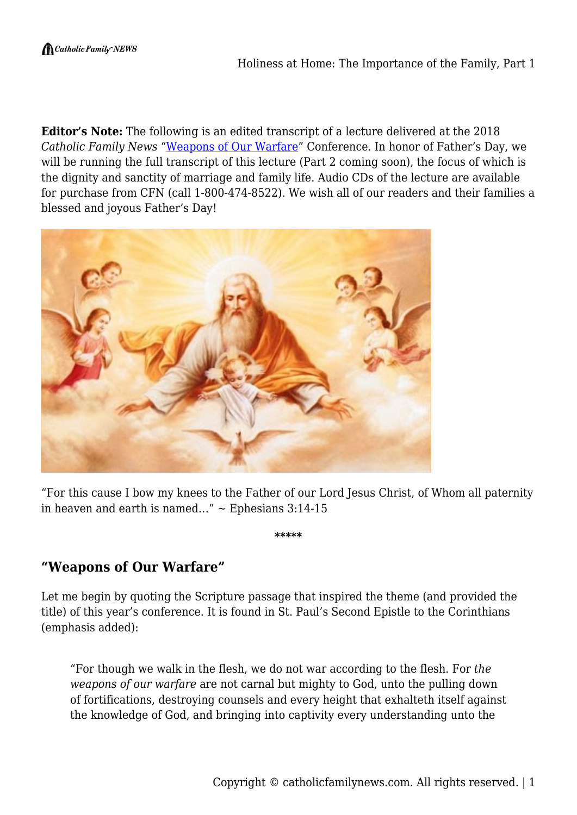**Editor's Note:** The following is an edited transcript of a lecture delivered at the 2018 *Catholic Family News* "[Weapons of Our Warfare"](https://www.lifesitenews.com/news/cardinals-must-declare-pope-francis-is-in-error-catholic-lawyer) Conference. In honor of Father's Day, we will be running the full transcript of this lecture (Part 2 coming soon), the focus of which is the dignity and sanctity of marriage and family life. Audio CDs of the lecture are available for purchase from CFN (call 1-800-474-8522). We wish all of our readers and their families a blessed and joyous Father's Day!



"For this cause I bow my knees to the Father of our Lord Jesus Christ, of Whom all paternity in heaven and earth is named..."  $\sim$  Ephesians 3:14-15

**\*\*\*\*\***

**"Weapons of Our Warfare"**

Let me begin by quoting the Scripture passage that inspired the theme (and provided the title) of this year's conference. It is found in St. Paul's Second Epistle to the Corinthians (emphasis added):

"For though we walk in the flesh, we do not war according to the flesh. For *the weapons of our warfare* are not carnal but mighty to God, unto the pulling down of fortifications, destroying counsels and every height that exhalteth itself against the knowledge of God, and bringing into captivity every understanding unto the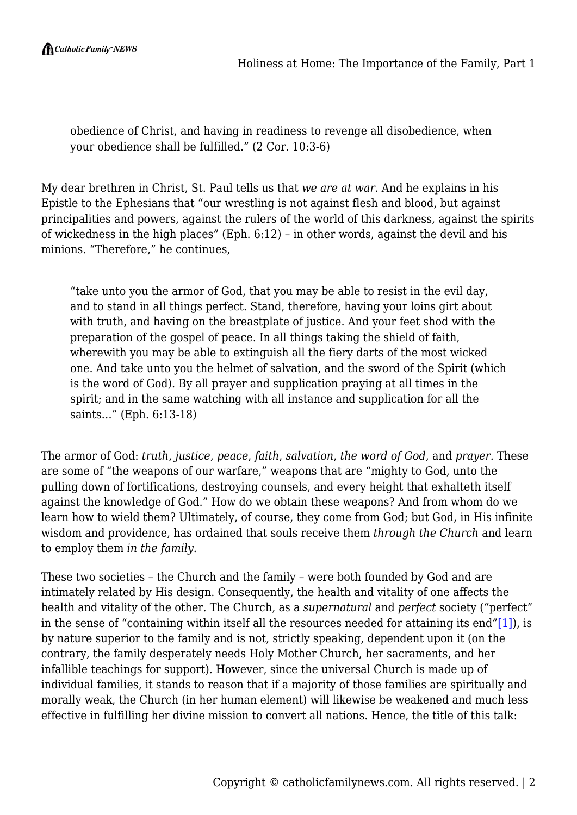$\bigcap$  Catholic Family NEWS

obedience of Christ, and having in readiness to revenge all disobedience, when your obedience shall be fulfilled." (2 Cor. 10:3-6)

My dear brethren in Christ, St. Paul tells us that *we are at war*. And he explains in his Epistle to the Ephesians that "our wrestling is not against flesh and blood, but against principalities and powers, against the rulers of the world of this darkness, against the spirits of wickedness in the high places" (Eph. 6:12) – in other words, against the devil and his minions. "Therefore," he continues,

"take unto you the armor of God, that you may be able to resist in the evil day, and to stand in all things perfect. Stand, therefore, having your loins girt about with truth, and having on the breastplate of justice. And your feet shod with the preparation of the gospel of peace. In all things taking the shield of faith, wherewith you may be able to extinguish all the fiery darts of the most wicked one. And take unto you the helmet of salvation, and the sword of the Spirit (which is the word of God). By all prayer and supplication praying at all times in the spirit; and in the same watching with all instance and supplication for all the saints…" (Eph. 6:13-18)

The armor of God: *truth*, *justice*, *peace*, *faith*, *salvation*, *the word of God*, and *prayer*. These are some of "the weapons of our warfare," weapons that are "mighty to God, unto the pulling down of fortifications, destroying counsels, and every height that exhalteth itself against the knowledge of God." How do we obtain these weapons? And from whom do we learn how to wield them? Ultimately, of course, they come from God; but God, in His infinite wisdom and providence, has ordained that souls receive them *through the Church* and learn to employ them *in the family*.

These two societies – the Church and the family – were both founded by God and are intimately related by His design. Consequently, the health and vitality of one affects the health and vitality of the other. The Church, as a *supernatural* and *perfect* society ("perfect" in the sense of "containing within itself all the resources needed for attaining its end" $[1]$ ), is by nature superior to the family and is not, strictly speaking, dependent upon it (on the contrary, the family desperately needs Holy Mother Church, her sacraments, and her infallible teachings for support). However, since the universal Church is made up of individual families, it stands to reason that if a majority of those families are spiritually and morally weak, the Church (in her human element) will likewise be weakened and much less effective in fulfilling her divine mission to convert all nations. Hence, the title of this talk: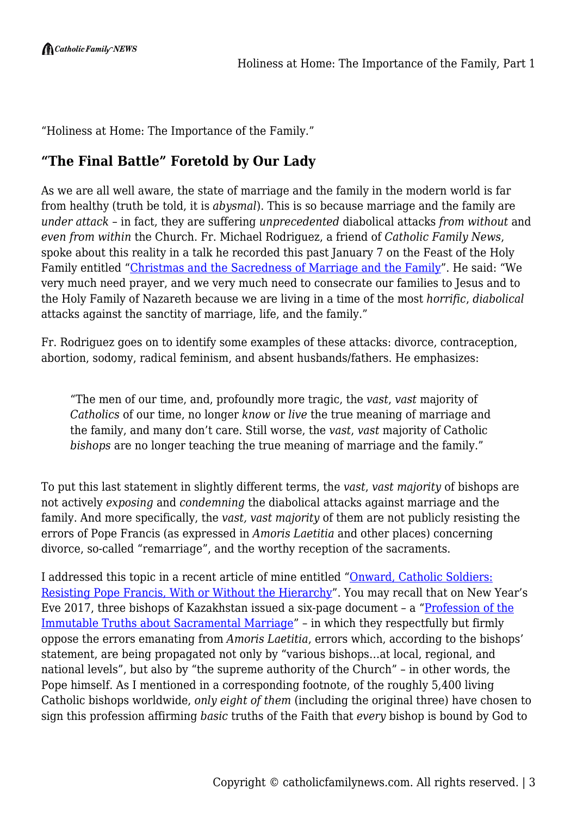"Holiness at Home: The Importance of the Family."

# **"The Final Battle" Foretold by Our Lady**

As we are all well aware, the state of marriage and the family in the modern world is far from healthy (truth be told, it is *abysmal*). This is so because marriage and the family are *under attack* – in fact, they are suffering *unprecedented* diabolical attacks *from without* and *even from within* the Church. Fr. Michael Rodriguez, a friend of *Catholic Family News*, spoke about this reality in a talk he recorded this past January 7 on the Feast of the Holy Family entitled ["Christmas and the Sacredness of Marriage and the Family"](https://www.youtube.com/watch?v=N_sjul0s6Rg&t=). He said: "We very much need prayer, and we very much need to consecrate our families to Jesus and to the Holy Family of Nazareth because we are living in a time of the most *horrific*, *diabolical* attacks against the sanctity of marriage, life, and the family."

Fr. Rodriguez goes on to identify some examples of these attacks: divorce, contraception, abortion, sodomy, radical feminism, and absent husbands/fathers. He emphasizes:

"The men of our time, and, profoundly more tragic, the *vast*, *vast* majority of *Catholics* of our time, no longer *know* or *live* the true meaning of marriage and the family, and many don't care. Still worse, the *vast*, *vast* majority of Catholic *bishops* are no longer teaching the true meaning of marriage and the family."

To put this last statement in slightly different terms, the *vast*, *vast majority* of bishops are not actively *exposing* and *condemning* the diabolical attacks against marriage and the family. And more specifically, the *vast, vast majority* of them are not publicly resisting the errors of Pope Francis (as expressed in *Amoris Laetitia* and other places) concerning divorce, so-called "remarriage", and the worthy reception of the sacraments.

I addressed this topic in a recent article of mine entitled "[Onward, Catholic Soldiers:](https://catholicfamilynews.com/blog/2018/02/01/onward-catholic-soldiers-resisting-pope-francis-with-or-without-the-hierarchy/) [Resisting Pope Francis, With or Without the Hierarchy"](https://catholicfamilynews.com/blog/2018/02/01/onward-catholic-soldiers-resisting-pope-francis-with-or-without-the-hierarchy/). You may recall that on New Year's Eve 2017, three bishops of Kazakhstan issued a six-page document – a ["Profession of the](http://www.ncregister.com/blog/edward-pentin/three-bishops-issue-profession-of-truth-about-sacramental-marriage) [Immutable Truths about Sacramental Marriage"](http://www.ncregister.com/blog/edward-pentin/three-bishops-issue-profession-of-truth-about-sacramental-marriage) – in which they respectfully but firmly oppose the errors emanating from *Amoris Laetitia*, errors which, according to the bishops' statement, are being propagated not only by "various bishops…at local, regional, and national levels", but also by "the supreme authority of the Church" – in other words, the Pope himself. As I mentioned in a corresponding footnote, of the roughly 5,400 living Catholic bishops worldwide, *only eight of them* (including the original three) have chosen to sign this profession affirming *basic* truths of the Faith that *every* bishop is bound by God to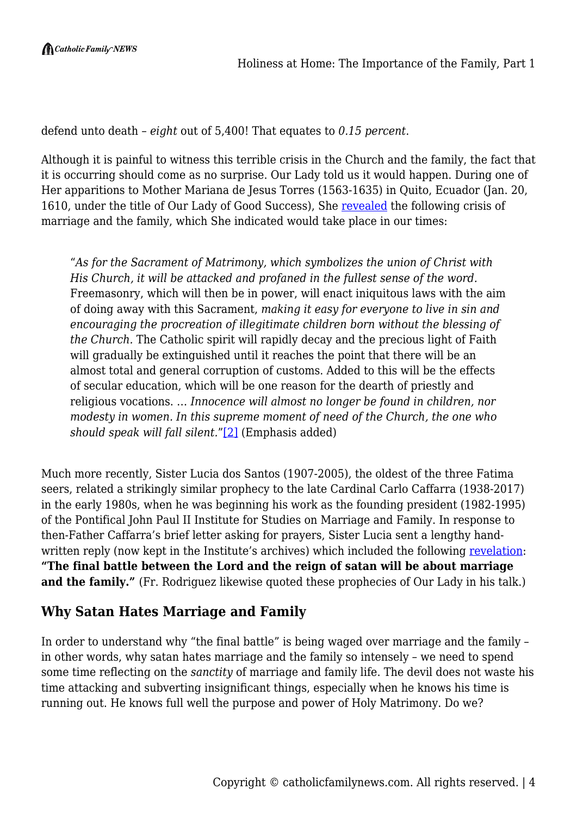defend unto death – *eight* out of 5,400! That equates to *0.15 percent*.

Although it is painful to witness this terrible crisis in the Church and the family, the fact that it is occurring should come as no surprise. Our Lady told us it would happen. During one of Her apparitions to Mother Mariana de Jesus Torres (1563-1635) in Quito, Ecuador (Jan. 20, 1610, under the title of Our Lady of Good Success), She [revealed](http://www.traditioninaction.org/OLGS/A001olgs%20fat.htm) the following crisis of marriage and the family, which She indicated would take place in our times:

"*As for the Sacrament of Matrimony, which symbolizes the union of Christ with His Church, it will be attacked and profaned in the fullest sense of the word.* Freemasonry, which will then be in power, will enact iniquitous laws with the aim of doing away with this Sacrament, *making it easy for everyone to live in sin and encouraging the procreation of illegitimate children born without the blessing of the Church.* The Catholic spirit will rapidly decay and the precious light of Faith will gradually be extinguished until it reaches the point that there will be an almost total and general corruption of customs. Added to this will be the effects of secular education, which will be one reason for the dearth of priestly and religious vocations. … *Innocence will almost no longer be found in children, nor modesty in women. In this supreme moment of need of the Church, the one who should speak will fall silent.*["\[2\]](#page--1-0) (Emphasis added)

Much more recently, Sister Lucia dos Santos (1907-2005), the oldest of the three Fatima seers, related a strikingly similar prophecy to the late Cardinal Carlo Caffarra (1938-2017) in the early 1980s, when he was beginning his work as the founding president (1982-1995) of the Pontifical John Paul II Institute for Studies on Marriage and Family. In response to then-Father Caffarra's brief letter asking for prayers, Sister Lucia sent a lengthy handwritten reply (now kept in the Institute's archives) which included the following [revelation:](https://rorate-caeli.blogspot.com/2015/06/cardinal-what-sister-lucia-told-me.html?m=1) **"The final battle between the Lord and the reign of satan will be about marriage** and the family." (Fr. Rodriguez likewise quoted these prophecies of Our Lady in his talk.)

### **Why Satan Hates Marriage and Family**

In order to understand why "the final battle" is being waged over marriage and the family – in other words, why satan hates marriage and the family so intensely – we need to spend some time reflecting on the *sanctity* of marriage and family life. The devil does not waste his time attacking and subverting insignificant things, especially when he knows his time is running out. He knows full well the purpose and power of Holy Matrimony. Do we?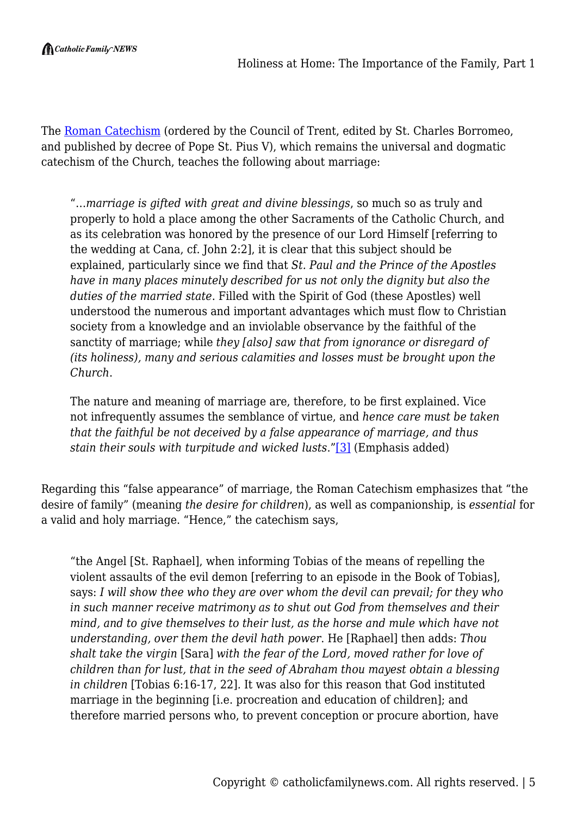The [Roman Catechism](https://www.tanbooks.com/index.php/catechism-of-the-council-of-trent.html) (ordered by the Council of Trent, edited by St. Charles Borromeo, and published by decree of Pope St. Pius V), which remains the universal and dogmatic catechism of the Church, teaches the following about marriage:

"…*marriage is gifted with great and divine blessings*, so much so as truly and properly to hold a place among the other Sacraments of the Catholic Church, and as its celebration was honored by the presence of our Lord Himself [referring to the wedding at Cana, cf. John 2:2], it is clear that this subject should be explained, particularly since we find that *St. Paul and the Prince of the Apostles have in many places minutely described for us not only the dignity but also the duties of the married state*. Filled with the Spirit of God (these Apostles) well understood the numerous and important advantages which must flow to Christian society from a knowledge and an inviolable observance by the faithful of the sanctity of marriage; while *they [also] saw that from ignorance or disregard of (its holiness), many and serious calamities and losses must be brought upon the Church*.

The nature and meaning of marriage are, therefore, to be first explained. Vice not infrequently assumes the semblance of virtue, and *hence care must be taken that the faithful be not deceived by a false appearance of marriage, and thus stain their souls with turpitude and wicked lusts*."[\[3\]](#page--1-0) (Emphasis added)

Regarding this "false appearance" of marriage, the Roman Catechism emphasizes that "the desire of family" (meaning *the desire for children*), as well as companionship, is *essential* for a valid and holy marriage. "Hence," the catechism says,

"the Angel [St. Raphael], when informing Tobias of the means of repelling the violent assaults of the evil demon [referring to an episode in the Book of Tobias], says: *I will show thee who they are over whom the devil can prevail; for they who in such manner receive matrimony as to shut out God from themselves and their mind, and to give themselves to their lust, as the horse and mule which have not understanding, over them the devil hath power*. He [Raphael] then adds: *Thou shalt take the virgin* [Sara] *with the fear of the Lord, moved rather for love of children than for lust, that in the seed of Abraham thou mayest obtain a blessing in children* [Tobias 6:16-17, 22]*.* It was also for this reason that God instituted marriage in the beginning [i.e. procreation and education of children]; and therefore married persons who, to prevent conception or procure abortion, have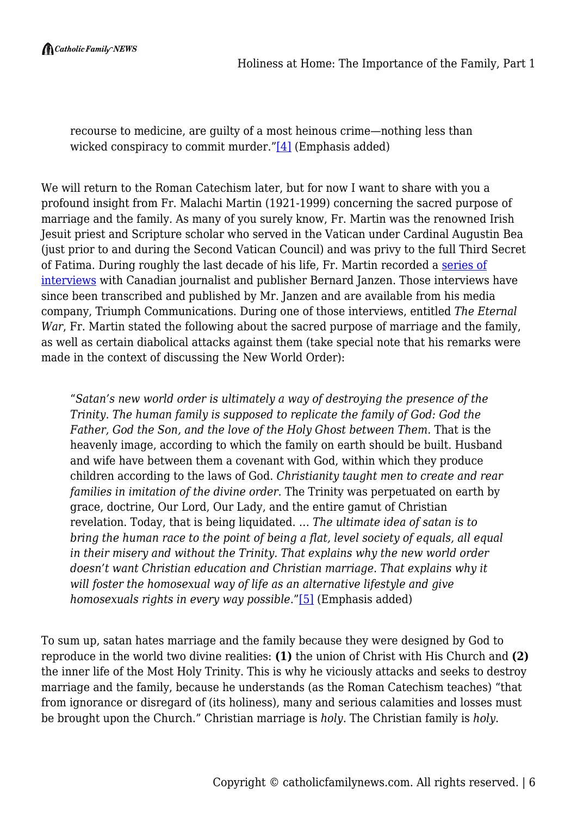$\bigcap$  Catholic Family NEWS

recourse to medicine, are guilty of a most heinous crime—nothing less than wicked conspiracy to commit murder.["\[4\]](#page--1-0) (Emphasis added)

We will return to the Roman Catechism later, but for now I want to share with you a profound insight from Fr. Malachi Martin (1921-1999) concerning the sacred purpose of marriage and the family. As many of you surely know, Fr. Martin was the renowned Irish Jesuit priest and Scripture scholar who served in the Vatican under Cardinal Augustin Bea (just prior to and during the Second Vatican Council) and was privy to the full Third Secret of Fatima. During roughly the last decade of his life, Fr. Martin recorded a [series of](http://www.triumphcommunications.net/booksmmartin.html) [interviews](http://www.triumphcommunications.net/booksmmartin.html) with Canadian journalist and publisher Bernard Janzen. Those interviews have since been transcribed and published by Mr. Janzen and are available from his media company, Triumph Communications. During one of those interviews, entitled *The Eternal War*, Fr. Martin stated the following about the sacred purpose of marriage and the family, as well as certain diabolical attacks against them (take special note that his remarks were made in the context of discussing the New World Order):

"*Satan's new world order is ultimately a way of destroying the presence of the Trinity. The human family is supposed to replicate the family of God: God the Father, God the Son, and the love of the Holy Ghost between Them.* That is the heavenly image, according to which the family on earth should be built. Husband and wife have between them a covenant with God, within which they produce children according to the laws of God. *Christianity taught men to create and rear families in imitation of the divine order.* The Trinity was perpetuated on earth by grace, doctrine, Our Lord, Our Lady, and the entire gamut of Christian revelation. Today, that is being liquidated. … *The ultimate idea of satan is to bring the human race to the point of being a flat, level society of equals, all equal in their misery and without the Trinity. That explains why the new world order doesn't want Christian education and Christian marriage. That explains why it will foster the homosexual way of life as an alternative lifestyle and give homosexuals rights in every way possible.*"[\[5\]](#page--1-0) (Emphasis added)

To sum up, satan hates marriage and the family because they were designed by God to reproduce in the world two divine realities: **(1)** the union of Christ with His Church and **(2)** the inner life of the Most Holy Trinity. This is why he viciously attacks and seeks to destroy marriage and the family, because he understands (as the Roman Catechism teaches) "that from ignorance or disregard of (its holiness), many and serious calamities and losses must be brought upon the Church." Christian marriage is *holy*. The Christian family is *holy*.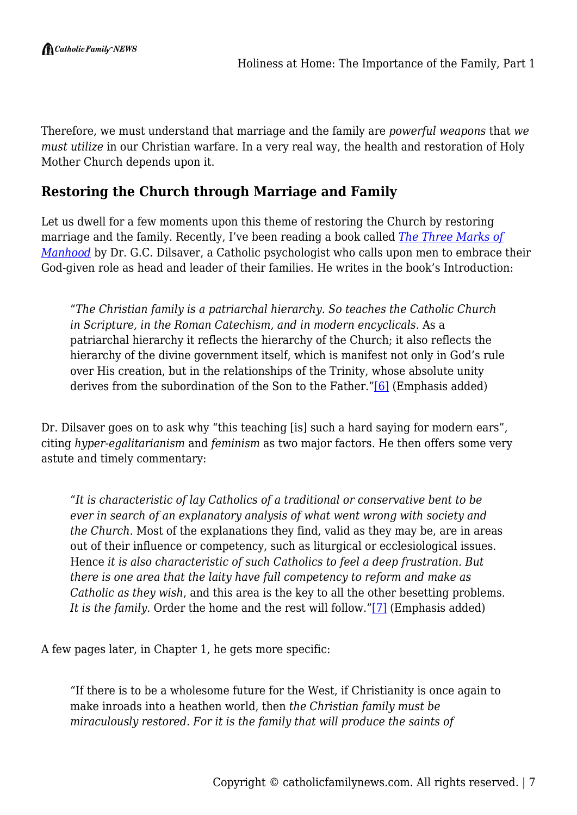Therefore, we must understand that marriage and the family are *powerful weapons* that *we must utilize* in our Christian warfare. In a very real way, the health and restoration of Holy Mother Church depends upon it.

## **Restoring the Church through Marriage and Family**

Let us dwell for a few moments upon this theme of restoring the Church by restoring marriage and the family. Recently, I've been reading a book called *[The Three Marks of](https://www.tanbooks.com/index.php/three-marks-of-manhood-how-to-be-priest-prophet-and-king-of-your-family-2.html) [Manhood](https://www.tanbooks.com/index.php/three-marks-of-manhood-how-to-be-priest-prophet-and-king-of-your-family-2.html)* by Dr. G.C. Dilsaver, a Catholic psychologist who calls upon men to embrace their God-given role as head and leader of their families. He writes in the book's Introduction:

"*The Christian family is a patriarchal hierarchy. So teaches the Catholic Church in Scripture, in the Roman Catechism, and in modern encyclicals.* As a patriarchal hierarchy it reflects the hierarchy of the Church; it also reflects the hierarchy of the divine government itself, which is manifest not only in God's rule over His creation, but in the relationships of the Trinity, whose absolute unity derives from the subordination of the Son to the Father.["\[6\]](#page--1-0) (Emphasis added)

Dr. Dilsaver goes on to ask why "this teaching [is] such a hard saying for modern ears", citing *hyper-egalitarianism* and *feminism* as two major factors. He then offers some very astute and timely commentary:

"*It is characteristic of lay Catholics of a traditional or conservative bent to be ever in search of an explanatory analysis of what went wrong with society and the Church.* Most of the explanations they find, valid as they may be, are in areas out of their influence or competency, such as liturgical or ecclesiological issues. Hence *it is also characteristic of such Catholics to feel a deep frustration. But there is one area that the laity have full competency to reform and make as Catholic as they wish*, and this area is the key to all the other besetting problems. It is the family. Order the home and the rest will follow."<sup>[\[7\]](#page--1-0)</sup> (Emphasis added)

A few pages later, in Chapter 1, he gets more specific:

"If there is to be a wholesome future for the West, if Christianity is once again to make inroads into a heathen world, then *the Christian family must be miraculously restored. For it is the family that will produce the saints of*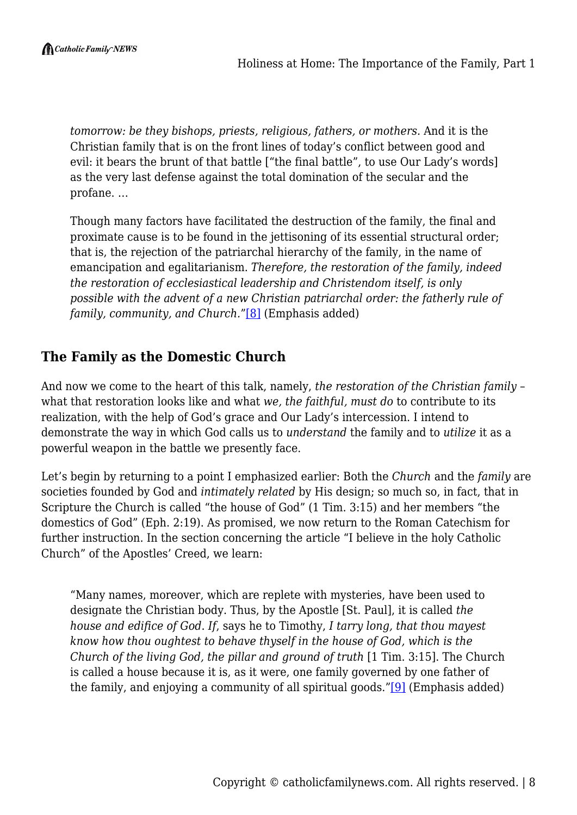*tomorrow: be they bishops, priests, religious, fathers, or mothers.* And it is the Christian family that is on the front lines of today's conflict between good and evil: it bears the brunt of that battle ["the final battle", to use Our Lady's words] as the very last defense against the total domination of the secular and the profane. …

Though many factors have facilitated the destruction of the family, the final and proximate cause is to be found in the jettisoning of its essential structural order; that is, the rejection of the patriarchal hierarchy of the family, in the name of emancipation and egalitarianism. *Therefore, the restoration of the family, indeed the restoration of ecclesiastical leadership and Christendom itself, is only possible with the advent of a new Christian patriarchal order: the fatherly rule of family, community, and Church.*"[\[8\]](#page--1-0) (Emphasis added)

# **The Family as the Domestic Church**

And now we come to the heart of this talk, namely, *the restoration of the Christian family* – what that restoration looks like and what *we, the faithful, must do* to contribute to its realization, with the help of God's grace and Our Lady's intercession. I intend to demonstrate the way in which God calls us to *understand* the family and to *utilize* it as a powerful weapon in the battle we presently face.

Let's begin by returning to a point I emphasized earlier: Both the *Church* and the *family* are societies founded by God and *intimately related* by His design; so much so, in fact, that in Scripture the Church is called "the house of God" (1 Tim. 3:15) and her members "the domestics of God" (Eph. 2:19). As promised, we now return to the Roman Catechism for further instruction. In the section concerning the article "I believe in the holy Catholic Church" of the Apostles' Creed, we learn:

"Many names, moreover, which are replete with mysteries, have been used to designate the Christian body. Thus, by the Apostle [St. Paul], it is called *the house and edifice of God*. *If*, says he to Timothy, *I tarry long, that thou mayest know how thou oughtest to behave thyself in the house of God, which is the Church of the living God, the pillar and ground of truth* [1 Tim. 3:15]. The Church is called a house because it is, as it were, one family governed by one father of the family, and enjoying a community of all spiritual goods.["\[9\]](#page--1-0) (Emphasis added)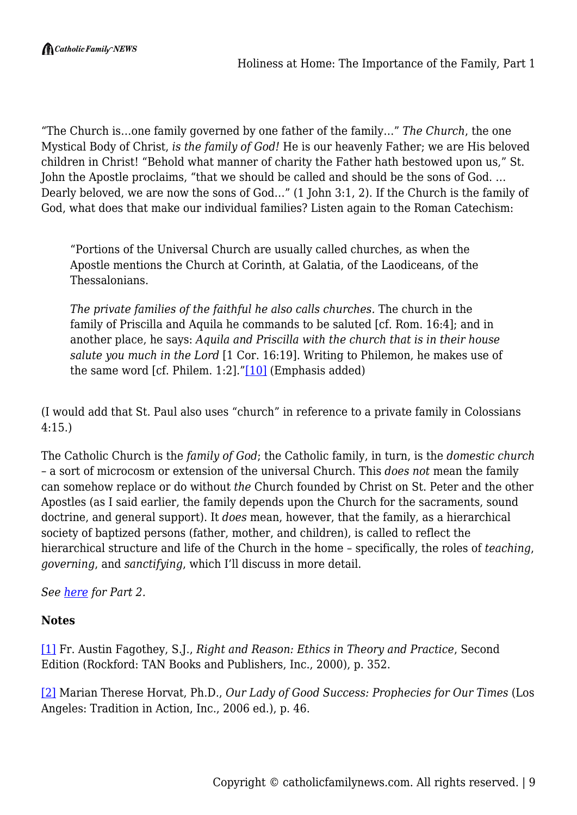"The Church is…one family governed by one father of the family…" *The Church*, the one Mystical Body of Christ, *is the family of God!* He is our heavenly Father; we are His beloved children in Christ! "Behold what manner of charity the Father hath bestowed upon us," St. John the Apostle proclaims, "that we should be called and should be the sons of God. … Dearly beloved, we are now the sons of God…" (1 John 3:1, 2). If the Church is the family of God, what does that make our individual families? Listen again to the Roman Catechism:

"Portions of the Universal Church are usually called churches, as when the Apostle mentions the Church at Corinth, at Galatia, of the Laodiceans, of the Thessalonians.

*The private families of the faithful he also calls churches.* The church in the family of Priscilla and Aquila he commands to be saluted [cf. Rom. 16:4]; and in another place, he says: *Aquila and Priscilla with the church that is in their house salute you much in the Lord* [1 Cor. 16:19]. Writing to Philemon, he makes use of the same word [cf. Philem.  $1:2$ ]." $[10]$  (Emphasis added)

(I would add that St. Paul also uses "church" in reference to a private family in Colossians 4:15.)

The Catholic Church is the *family of God*; the Catholic family, in turn, is the *domestic church* – a sort of microcosm or extension of the universal Church. This *does not* mean the family can somehow replace or do without *the* Church founded by Christ on St. Peter and the other Apostles (as I said earlier, the family depends upon the Church for the sacraments, sound doctrine, and general support). It *does* mean, however, that the family, as a hierarchical society of baptized persons (father, mother, and children), is called to reflect the hierarchical structure and life of the Church in the home – specifically, the roles of *teaching*, *governing*, and *sanctifying*, which I'll discuss in more detail.

*See [here](https://catholicfamilynews.com/blog/2018/06/20/holiness-at-home-the-importance-of-the-family-part-2/) for Part 2.*

#### **Notes**

[\[1\]](#page--1-0) Fr. Austin Fagothey, S.J., *Right and Reason: Ethics in Theory and Practice*, Second Edition (Rockford: TAN Books and Publishers, Inc., 2000), p. 352.

[\[2\]](#page--1-0) Marian Therese Horvat, Ph.D., *Our Lady of Good Success: Prophecies for Our Times* (Los Angeles: Tradition in Action, Inc., 2006 ed.), p. 46.